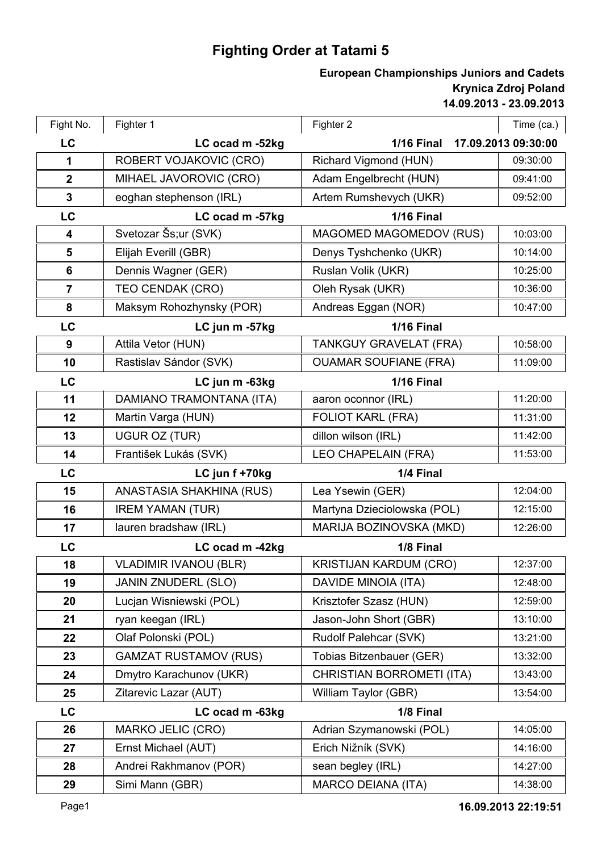## **Fighting Order at Tatami 5**

## **14.09.2013 - 23.09.2013 Krynica Zdroj Poland European Championships Juniors and Cadets**

| Fight No.               | Fighter 1                    | Fighter 2                      | Time (ca.)          |
|-------------------------|------------------------------|--------------------------------|---------------------|
| LC                      | LC ocad m -52kg              | <b>1/16 Final</b>              | 17.09.2013 09:30:00 |
| 1                       | ROBERT VOJAKOVIC (CRO)       | Richard Vigmond (HUN)          | 09:30:00            |
| $\overline{2}$          | MIHAEL JAVOROVIC (CRO)       | Adam Engelbrecht (HUN)         | 09:41:00            |
| $\mathbf{3}$            | eoghan stephenson (IRL)      | Artem Rumshevych (UKR)         | 09:52:00            |
| LC                      | LC ocad m -57kg              | <b>1/16 Final</b>              |                     |
| $\overline{\mathbf{4}}$ | Svetozar Šs;ur (SVK)         | <b>MAGOMED MAGOMEDOV (RUS)</b> | 10:03:00            |
| 5                       | Elijah Everill (GBR)         | Denys Tyshchenko (UKR)         | 10:14:00            |
| 6                       | Dennis Wagner (GER)          | Ruslan Volik (UKR)             | 10:25:00            |
| $\overline{7}$          | TEO CENDAK (CRO)             | Oleh Rysak (UKR)               | 10:36:00            |
| 8                       | Maksym Rohozhynsky (POR)     | Andreas Eggan (NOR)            | 10:47:00            |
| LC                      | LC jun m -57kg               | <b>1/16 Final</b>              |                     |
| 9                       | Attila Vetor (HUN)           | <b>TANKGUY GRAVELAT (FRA)</b>  | 10:58:00            |
| 10                      | Rastislav Sándor (SVK)       | <b>OUAMAR SOUFIANE (FRA)</b>   | 11:09:00            |
| LC                      | LC jun m -63kg               | <b>1/16 Final</b>              |                     |
| 11                      | DAMIANO TRAMONTANA (ITA)     | aaron oconnor (IRL)            | 11:20:00            |
| 12                      | Martin Varga (HUN)           | <b>FOLIOT KARL (FRA)</b>       | 11:31:00            |
| 13                      | UGUR OZ (TUR)                | dillon wilson (IRL)            | 11:42:00            |
| 14                      | František Lukás (SVK)        | LEO CHAPELAIN (FRA)            | 11:53:00            |
| LC                      | LC jun f +70kg               | 1/4 Final                      |                     |
| 15                      | ANASTASIA SHAKHINA (RUS)     | Lea Ysewin (GER)               | 12:04:00            |
| 16                      | <b>IREM YAMAN (TUR)</b>      | Martyna Dzieciolowska (POL)    | 12:15:00            |
| 17                      | lauren bradshaw (IRL)        | MARIJA BOZINOVSKA (MKD)        | 12:26:00            |
| LC                      | LC ocad m -42kg              | 1/8 Final                      |                     |
| 18                      | <b>VLADIMIR IVANOU (BLR)</b> | KRISTIJAN KARDUM (CRO)         | 12:37:00            |
| 19                      | <b>JANIN ZNUDERL (SLO)</b>   | DAVIDE MINOIA (ITA)            | 12:48:00            |
| 20                      | Lucjan Wisniewski (POL)      | Krisztofer Szasz (HUN)         | 12:59:00            |
| 21                      | ryan keegan (IRL)            | Jason-John Short (GBR)         | 13:10:00            |
| 22                      | Olaf Polonski (POL)          | Rudolf Palehcar (SVK)          | 13:21:00            |
| 23                      | <b>GAMZAT RUSTAMOV (RUS)</b> | Tobias Bitzenbauer (GER)       | 13:32:00            |
| 24                      | Dmytro Karachunov (UKR)      | CHRISTIAN BORROMETI (ITA)      | 13:43:00            |
| 25                      | Zitarevic Lazar (AUT)        | William Taylor (GBR)           | 13:54:00            |
| <b>LC</b>               | LC ocad m -63kg              | 1/8 Final                      |                     |
| 26                      | MARKO JELIC (CRO)            | Adrian Szymanowski (POL)       | 14:05:00            |
| 27                      | Ernst Michael (AUT)          | Erich Nižník (SVK)             | 14:16:00            |
| 28                      | Andrei Rakhmanov (POR)       | sean begley (IRL)              | 14:27:00            |
| 29                      | Simi Mann (GBR)              | <b>MARCO DEIANA (ITA)</b>      | 14:38:00            |